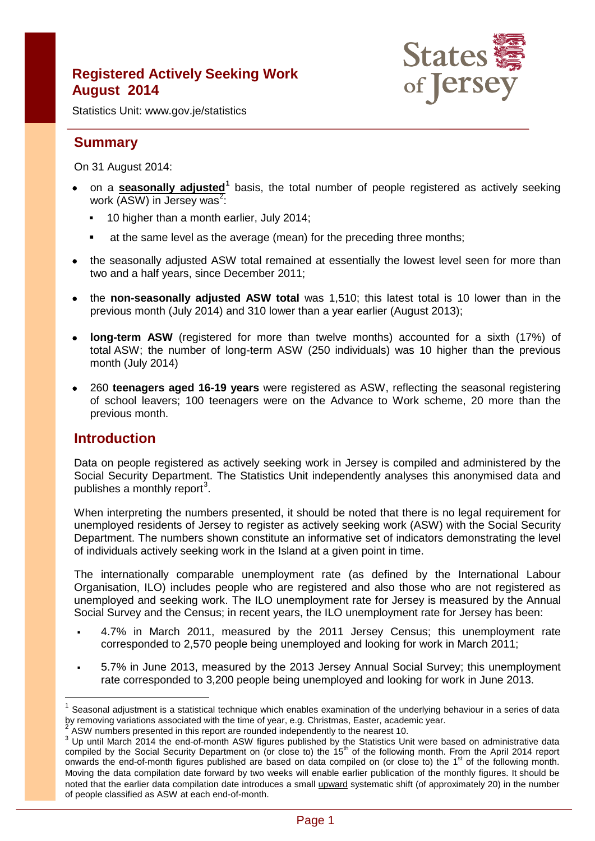# **Registered Actively Seeking Work August 2014**



Statistics Unit: www.gov.je/statistics

# **Summary**

On 31 August 2014:

- on a **seasonally adjusted[1](#page-0-0)** basis, the total number of people registered as actively seeking work (ASW) in Jersey was<sup>[2](#page-0-1)</sup>:
	- <sup>1</sup> 10 higher than a month earlier, July 2014;
	- at the same level as the average (mean) for the preceding three months;
- the seasonally adjusted ASW total remained at essentially the lowest level seen for more than two and a half years, since December 2011;
- the **non-seasonally adjusted ASW total** was 1,510; this latest total is 10 lower than in the previous month (July 2014) and 310 lower than a year earlier (August 2013);
- **long-term ASW** (registered for more than twelve months) accounted for a sixth (17%) of total ASW; the number of long-term ASW (250 individuals) was 10 higher than the previous month (July 2014)
- 260 **teenagers aged 16-19 years** were registered as ASW, reflecting the seasonal registering of school leavers; 100 teenagers were on the Advance to Work scheme, 20 more than the previous month.

## **Introduction**

 $\overline{1}$ 

Data on people registered as actively seeking work in Jersey is compiled and administered by the Social Security Department. The Statistics Unit independently analyses this anonymised data and publishes a monthly report<sup>[3](#page-0-2)</sup>.

When interpreting the numbers presented, it should be noted that there is no legal requirement for unemployed residents of Jersey to register as actively seeking work (ASW) with the Social Security Department. The numbers shown constitute an informative set of indicators demonstrating the level of individuals actively seeking work in the Island at a given point in time.

The internationally comparable unemployment rate (as defined by the International Labour Organisation, ILO) includes people who are registered and also those who are not registered as unemployed and seeking work. The ILO unemployment rate for Jersey is measured by the Annual Social Survey and the Census; in recent years, the ILO unemployment rate for Jersey has been:

- 4.7% in March 2011, measured by the 2011 Jersey Census; this unemployment rate corresponded to 2,570 people being unemployed and looking for work in March 2011;
- 5.7% in June 2013, measured by the 2013 Jersey Annual Social Survey; this unemployment rate corresponded to 3,200 people being unemployed and looking for work in June 2013.

<span id="page-0-0"></span>Seasonal adjustment is a statistical technique which enables examination of the underlying behaviour in a series of data by removing variations associated with the time of year, e.g. Christmas, Easter, academic year.

<span id="page-0-2"></span><span id="page-0-1"></span><sup>&</sup>lt;sup>2</sup> ASW numbers presented in this report are rounded independently to the nearest 10.<br><sup>3</sup> Up until March 2014 the end-of-month ASW figures published by the Statistics Unit were based on administrative data compiled by the Social Security Department on (or close to) the 15<sup>th</sup> of the following month. From the April 2014 report onwards the end-of-month figures published are based on data compiled on (or close to) the 1<sup>st</sup> of the following month. Moving the data compilation date forward by two weeks will enable earlier publication of the monthly figures. It should be noted that the earlier data compilation date introduces a small upward systematic shift (of approximately 20) in the number of people classified as ASW at each end-of-month.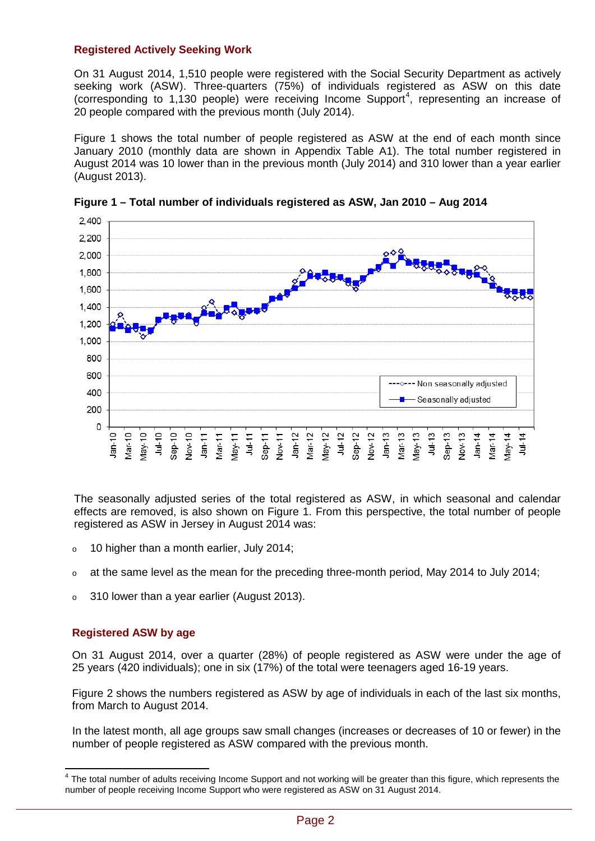### **Registered Actively Seeking Work**

On 31 August 2014, 1,510 people were registered with the Social Security Department as actively seeking work (ASW). Three-quarters (75%) of individuals registered as ASW on this date (corresponding to  $1,130$  people) were receiving Income Support<sup>[4](#page-1-0)</sup>, representing an increase of 20 people compared with the previous month (July 2014).

Figure 1 shows the total number of people registered as ASW at the end of each month since January 2010 (monthly data are shown in Appendix Table A1). The total number registered in August 2014 was 10 lower than in the previous month (July 2014) and 310 lower than a year earlier (August 2013).



**Figure 1 – Total number of individuals registered as ASW, Jan 2010 – Aug 2014**

The seasonally adjusted series of the total registered as ASW, in which seasonal and calendar effects are removed, is also shown on Figure 1. From this perspective, the total number of people registered as ASW in Jersey in August 2014 was:

- $\circ$  10 higher than a month earlier, July 2014;
- $\circ$  at the same level as the mean for the preceding three-month period. May 2014 to July 2014:
- <sup>o</sup> 310 lower than a year earlier (August 2013).

#### **Registered ASW by age**

On 31 August 2014, over a quarter (28%) of people registered as ASW were under the age of 25 years (420 individuals); one in six (17%) of the total were teenagers aged 16-19 years.

Figure 2 shows the numbers registered as ASW by age of individuals in each of the last six months, from March to August 2014.

In the latest month, all age groups saw small changes (increases or decreases of 10 or fewer) in the number of people registered as ASW compared with the previous month.

<span id="page-1-0"></span> $4$  The total number of adults receiving Income Support and not working will be greater than this figure, which represents the number of people receiving Income Support who were registered as ASW on 31 August 2014.  $\overline{\phantom{a}}$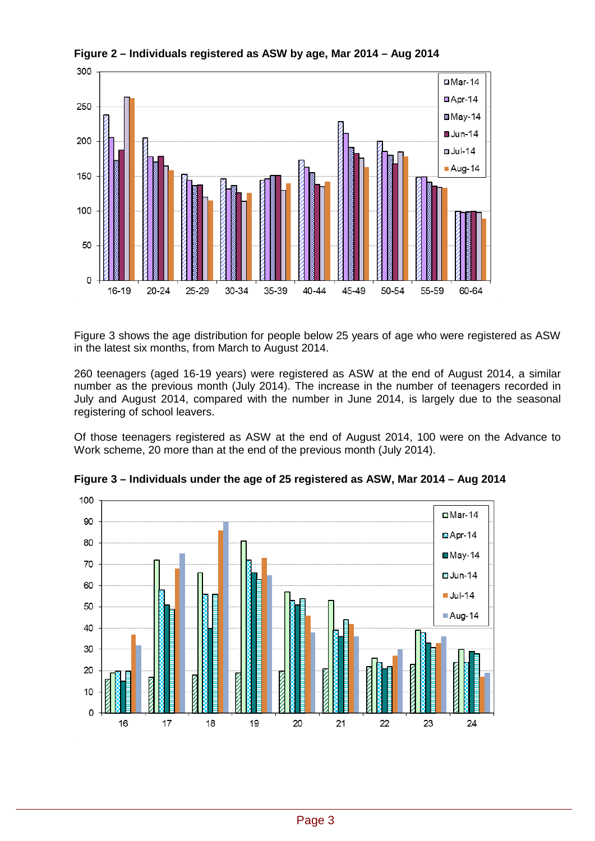

**Figure 2 – Individuals registered as ASW by age, Mar 2014 – Aug 2014**

Figure 3 shows the age distribution for people below 25 years of age who were registered as ASW in the latest six months, from March to August 2014.

260 teenagers (aged 16-19 years) were registered as ASW at the end of August 2014, a similar number as the previous month (July 2014). The increase in the number of teenagers recorded in July and August 2014, compared with the number in June 2014, is largely due to the seasonal registering of school leavers.

Of those teenagers registered as ASW at the end of August 2014, 100 were on the Advance to Work scheme, 20 more than at the end of the previous month (July 2014).



**Figure 3 – Individuals under the age of 25 registered as ASW, Mar 2014 – Aug 2014**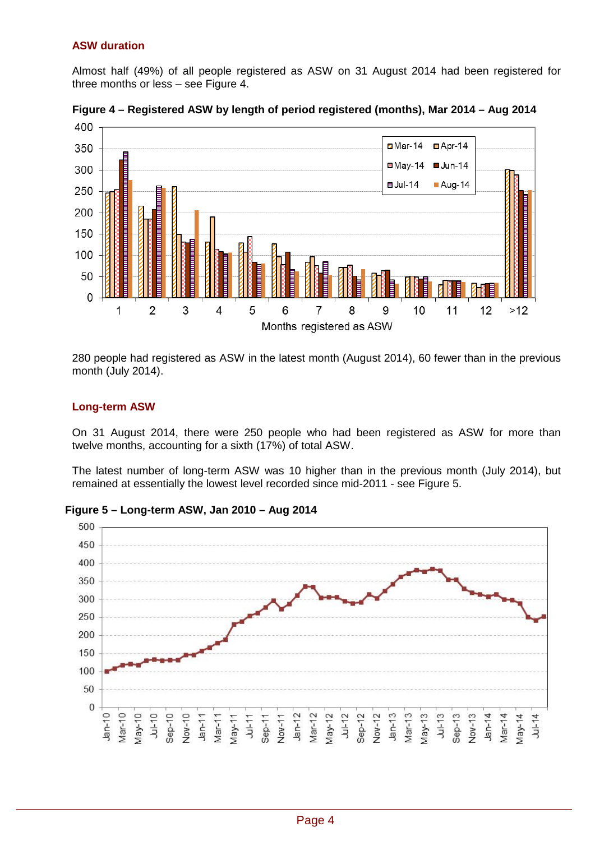## **ASW duration**

Almost half (49%) of all people registered as ASW on 31 August 2014 had been registered for three months or less – see Figure 4.



**Figure 4 – Registered ASW by length of period registered (months), Mar 2014 – Aug 2014**

280 people had registered as ASW in the latest month (August 2014), 60 fewer than in the previous month (July 2014).

## **Long-term ASW**

On 31 August 2014, there were 250 people who had been registered as ASW for more than twelve months, accounting for a sixth (17%) of total ASW.

The latest number of long-term ASW was 10 higher than in the previous month (July 2014), but remained at essentially the lowest level recorded since mid-2011 - see Figure 5.

**Figure 5 – Long-term ASW, Jan 2010 – Aug 2014**

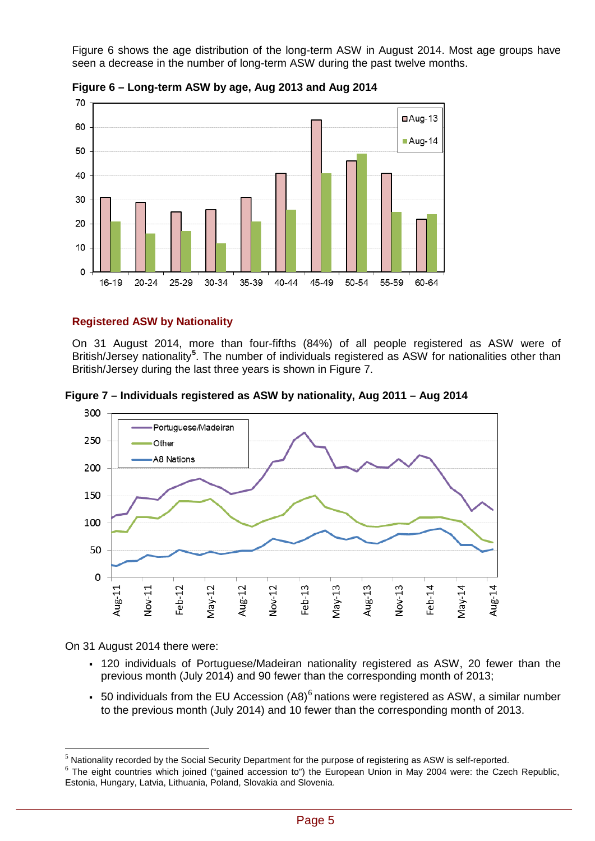Figure 6 shows the age distribution of the long-term ASW in August 2014. Most age groups have seen a decrease in the number of long-term ASW during the past twelve months.



**Figure 6 – Long-term ASW by age, Aug 2013 and Aug 2014**

## **Registered ASW by Nationality**

On 31 August 2014, more than four-fifths (84%) of all people registered as ASW were of British/Jersey nationality**[5](#page-4-0)** . The number of individuals registered as ASW for nationalities other than British/Jersey during the last three years is shown in Figure 7.

**Figure 7 – Individuals registered as ASW by nationality, Aug 2011 – Aug 2014**



On 31 August 2014 there were:

 $\overline{a}$ 

- 120 individuals of Portuguese/Madeiran nationality registered as ASW, 20 fewer than the previous month (July 2014) and 90 fewer than the corresponding month of 2013;
- 50 individuals from the EU Accession  $(AB)^6$  $(AB)^6$  nations were registered as ASW, a similar number to the previous month (July 2014) and 10 fewer than the corresponding month of 2013.

<span id="page-4-0"></span> $<sup>5</sup>$  Nationality recorded by the Social Security Department for the purpose of registering as ASW is self-reported.</sup>

<span id="page-4-1"></span> $6$  The eight countries which joined ("gained accession to") the European Union in May 2004 were: the Czech Republic, Estonia, Hungary, Latvia, Lithuania, Poland, Slovakia and Slovenia.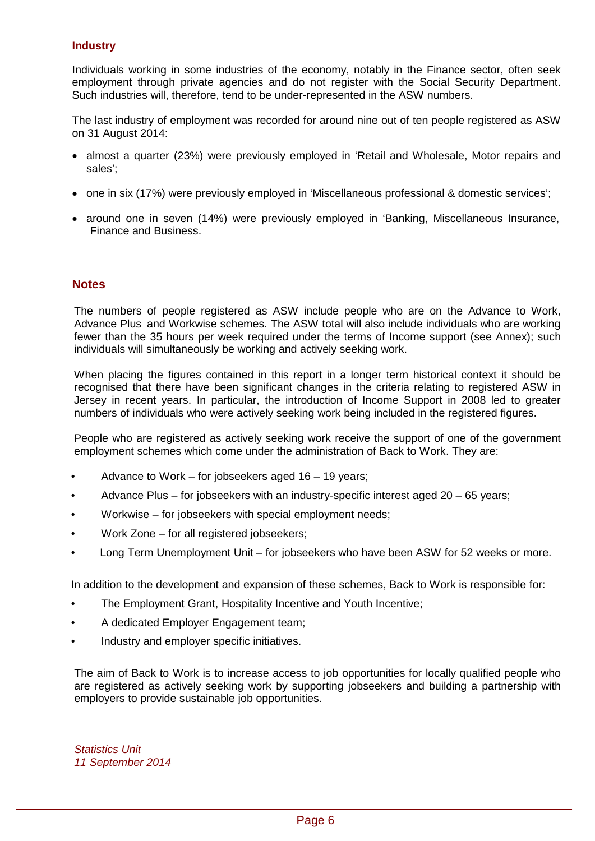### **Industry**

Individuals working in some industries of the economy, notably in the Finance sector, often seek employment through private agencies and do not register with the Social Security Department. Such industries will, therefore, tend to be under-represented in the ASW numbers.

The last industry of employment was recorded for around nine out of ten people registered as ASW on 31 August 2014:

- almost a quarter (23%) were previously employed in 'Retail and Wholesale, Motor repairs and sales';
- one in six (17%) were previously employed in 'Miscellaneous professional & domestic services';
- around one in seven (14%) were previously employed in 'Banking, Miscellaneous Insurance, Finance and Business.

## **Notes**

The numbers of people registered as ASW include people who are on the Advance to Work, Advance Plus and Workwise schemes. The ASW total will also include individuals who are working fewer than the 35 hours per week required under the terms of Income support (see Annex); such individuals will simultaneously be working and actively seeking work.

When placing the figures contained in this report in a longer term historical context it should be recognised that there have been significant changes in the criteria relating to registered ASW in Jersey in recent years. In particular, the introduction of Income Support in 2008 led to greater numbers of individuals who were actively seeking work being included in the registered figures.

People who are registered as actively seeking work receive the support of one of the government employment schemes which come under the administration of Back to Work. They are:

- Advance to Work for jobseekers aged 16 19 years;
- Advance Plus for jobseekers with an industry-specific interest aged 20 65 years;
- Workwise for jobseekers with special employment needs;
- Work Zone for all registered jobseekers;
- Long Term Unemployment Unit for jobseekers who have been ASW for 52 weeks or more.

In addition to the development and expansion of these schemes, Back to Work is responsible for:

- The Employment Grant, Hospitality Incentive and Youth Incentive;
- A dedicated Employer Engagement team;
- Industry and employer specific initiatives.

The aim of Back to Work is to increase access to job opportunities for locally qualified people who are registered as actively seeking work by supporting jobseekers and building a partnership with employers to provide sustainable job opportunities.

*Statistics Unit 11 September 2014*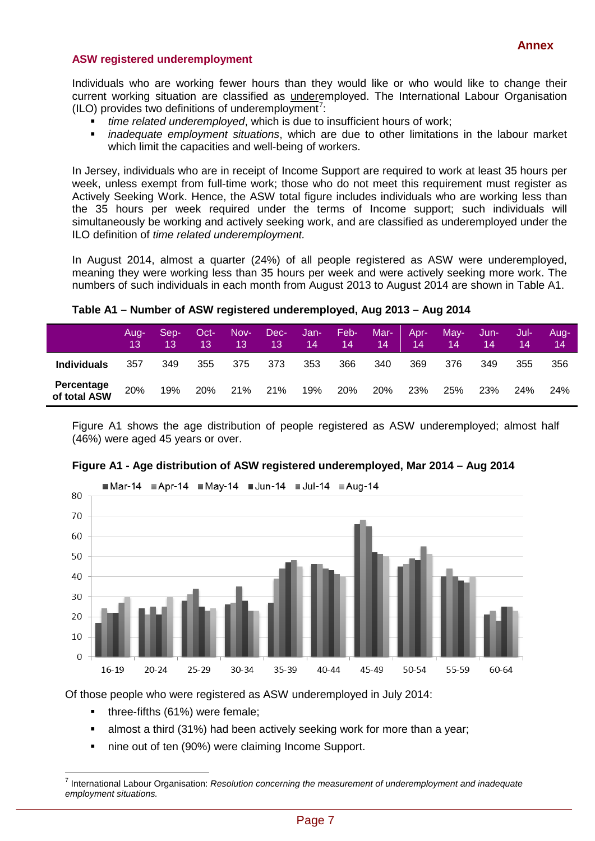#### **ASW registered underemployment**

Individuals who are working fewer hours than they would like or who would like to change their current working situation are classified as underemployed. The International Labour Organisation  $(ILO)$  provides two definitions of underemployment<sup>[7](#page-6-0)</sup>:

- *time related underemployed*, which is due to insufficient hours of work;
- *inadequate employment situations*, which are due to other limitations in the labour market which limit the capacities and well-being of workers.

In Jersey, individuals who are in receipt of Income Support are required to work at least 35 hours per week, unless exempt from full-time work; those who do not meet this requirement must register as Actively Seeking Work. Hence, the ASW total figure includes individuals who are working less than the 35 hours per week required under the terms of Income support; such individuals will simultaneously be working and actively seeking work, and are classified as underemployed under the ILO definition of *time related underemployment.*

In August 2014, almost a quarter (24%) of all people registered as ASW were underemployed, meaning they were working less than 35 hours per week and were actively seeking more work. The numbers of such individuals in each month from August 2013 to August 2014 are shown in Table A1.

**Table A1 – Number of ASW registered underemployed, Aug 2013 – Aug 2014**

|                            | Aua-<br>13. | Sep-<br>13. | Oct-<br>13 | Nov-<br>13 | Dec-<br>'13 | Jan-<br>14 | Feb-<br>14 | Mar-<br>14 | Apr-<br>14 | May-<br>14 | Jun-<br>14 | Jul-<br>14 | Aug-<br>14 |
|----------------------------|-------------|-------------|------------|------------|-------------|------------|------------|------------|------------|------------|------------|------------|------------|
| <b>Individuals</b>         | 357         | 349         | 355        | 375        | 373         | 353        | 366        | 340        | 369        | 376        | 349        | 355        | 356        |
| Percentage<br>of total ASW | 20%         | 19%         | 20%        | 21%        | 21%         | 19%        | 20%        | <b>20%</b> | 23%        | 25%        | 23%        | <b>24%</b> | 24%        |

Figure A1 shows the age distribution of people registered as ASW underemployed; almost half (46%) were aged 45 years or over.



#### **Figure A1 - Age distribution of ASW registered underemployed, Mar 2014 – Aug 2014**

Of those people who were registered as ASW underemployed in July 2014:

- three-fifths (61%) were female;
- almost a third (31%) had been actively seeking work for more than a year;
- nine out of ten (90%) were claiming Income Support.

<span id="page-6-0"></span><sup>7</sup> International Labour Organisation: *Resolution concerning the measurement of underemployment and inadequate employment situations.*  $\overline{a}$